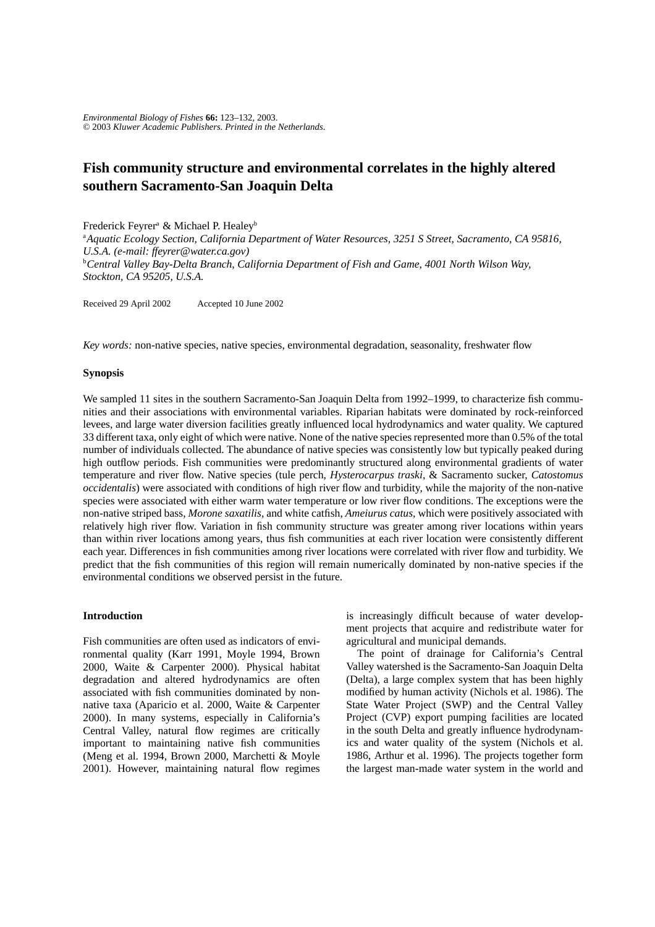# **Fish community structure and environmental correlates in the highly altered southern Sacramento-San Joaquin Delta**

Frederick Feyrer<sup>a</sup> & Michael P. Healey<sup>b</sup>

a *Aquatic Ecology Section, California Department of Water Resources, 3251 S Street, Sacramento, CA 95816, U.S.A. (e-mail: ffeyrer@water.ca.gov)* b *Central Valley Bay-Delta Branch, California Department of Fish and Game, 4001 North Wilson Way, Stockton, CA 95205, U.S.A.*

Received 29 April 2002 Accepted 10 June 2002

*Key words:* non-native species, native species, environmental degradation, seasonality, freshwater flow

## **Synopsis**

We sampled 11 sites in the southern Sacramento-San Joaquin Delta from 1992–1999, to characterize fish communities and their associations with environmental variables. Riparian habitats were dominated by rock-reinforced levees, and large water diversion facilities greatly influenced local hydrodynamics and water quality. We captured 33 different taxa, only eight of which were native. None of the native species represented more than 0.5% of the total number of individuals collected. The abundance of native species was consistently low but typically peaked during high outflow periods. Fish communities were predominantly structured along environmental gradients of water temperature and river flow. Native species (tule perch, *Hysterocarpus traski*, & Sacramento sucker, *Catostomus occidentalis*) were associated with conditions of high river flow and turbidity, while the majority of the non-native species were associated with either warm water temperature or low river flow conditions. The exceptions were the non-native striped bass, *Morone saxatilis*, and white catfish, *Ameiurus catus,* which were positively associated with relatively high river flow. Variation in fish community structure was greater among river locations within years than within river locations among years, thus fish communities at each river location were consistently different each year. Differences in fish communities among river locations were correlated with river flow and turbidity. We predict that the fish communities of this region will remain numerically dominated by non-native species if the environmental conditions we observed persist in the future.

# **Introduction**

Fish communities are often used as indicators of environmental quality (Karr 1991, Moyle 1994, Brown 2000, Waite & Carpenter 2000). Physical habitat degradation and altered hydrodynamics are often associated with fish communities dominated by nonnative taxa (Aparicio et al. 2000, Waite & Carpenter 2000). In many systems, especially in California's Central Valley, natural flow regimes are critically important to maintaining native fish communities (Meng et al. 1994, Brown 2000, Marchetti & Moyle 2001). However, maintaining natural flow regimes

is increasingly difficult because of water development projects that acquire and redistribute water for agricultural and municipal demands.

The point of drainage for California's Central Valley watershed is the Sacramento-San Joaquin Delta (Delta), a large complex system that has been highly modified by human activity (Nichols et al. 1986). The State Water Project (SWP) and the Central Valley Project (CVP) export pumping facilities are located in the south Delta and greatly influence hydrodynamics and water quality of the system (Nichols et al. 1986, Arthur et al. 1996). The projects together form the largest man-made water system in the world and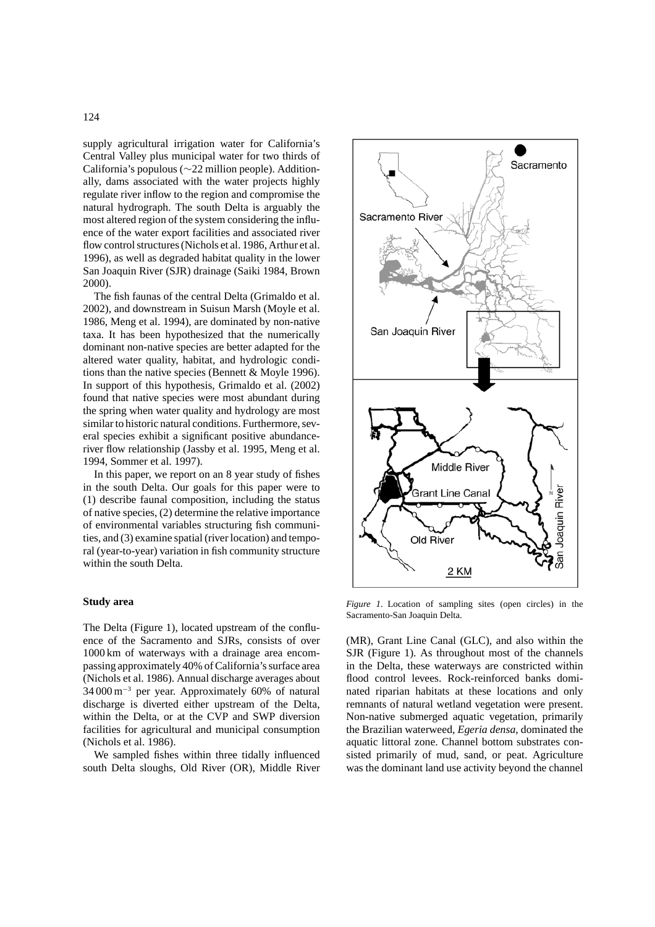supply agricultural irrigation water for California's Central Valley plus municipal water for two thirds of California's populous (∼22 million people). Additionally, dams associated with the water projects highly regulate river inflow to the region and compromise the natural hydrograph. The south Delta is arguably the most altered region of the system considering the influence of the water export facilities and associated river flow control structures (Nichols et al. 1986, Arthur et al. 1996), as well as degraded habitat quality in the lower San Joaquin River (SJR) drainage (Saiki 1984, Brown 2000).

The fish faunas of the central Delta (Grimaldo et al. 2002), and downstream in Suisun Marsh (Moyle et al. 1986, Meng et al. 1994), are dominated by non-native taxa. It has been hypothesized that the numerically dominant non-native species are better adapted for the altered water quality, habitat, and hydrologic conditions than the native species (Bennett & Moyle 1996). In support of this hypothesis, Grimaldo et al. (2002) found that native species were most abundant during the spring when water quality and hydrology are most similar to historic natural conditions. Furthermore, several species exhibit a significant positive abundanceriver flow relationship (Jassby et al. 1995, Meng et al. 1994, Sommer et al. 1997).

In this paper, we report on an 8 year study of fishes in the south Delta. Our goals for this paper were to (1) describe faunal composition, including the status of native species, (2) determine the relative importance of environmental variables structuring fish communities, and (3) examine spatial (river location) and temporal (year-to-year) variation in fish community structure within the south Delta.

## **Study area**

The Delta (Figure 1), located upstream of the confluence of the Sacramento and SJRs, consists of over 1000 km of waterways with a drainage area encompassing approximately 40% of California's surface area (Nichols et al. 1986). Annual discharge averages about 34 000 m−<sup>3</sup> per year. Approximately 60% of natural discharge is diverted either upstream of the Delta, within the Delta, or at the CVP and SWP diversion facilities for agricultural and municipal consumption (Nichols et al. 1986).

We sampled fishes within three tidally influenced south Delta sloughs, Old River (OR), Middle River



Sacramento River

San Joaquin River

Sacramento

*Figure 1*. Location of sampling sites (open circles) in the Sacramento-San Joaquin Delta.

(MR), Grant Line Canal (GLC), and also within the SJR (Figure 1). As throughout most of the channels in the Delta, these waterways are constricted within flood control levees. Rock-reinforced banks dominated riparian habitats at these locations and only remnants of natural wetland vegetation were present. Non-native submerged aquatic vegetation, primarily the Brazilian waterweed, *Egeria densa*, dominated the aquatic littoral zone. Channel bottom substrates consisted primarily of mud, sand, or peat. Agriculture was the dominant land use activity beyond the channel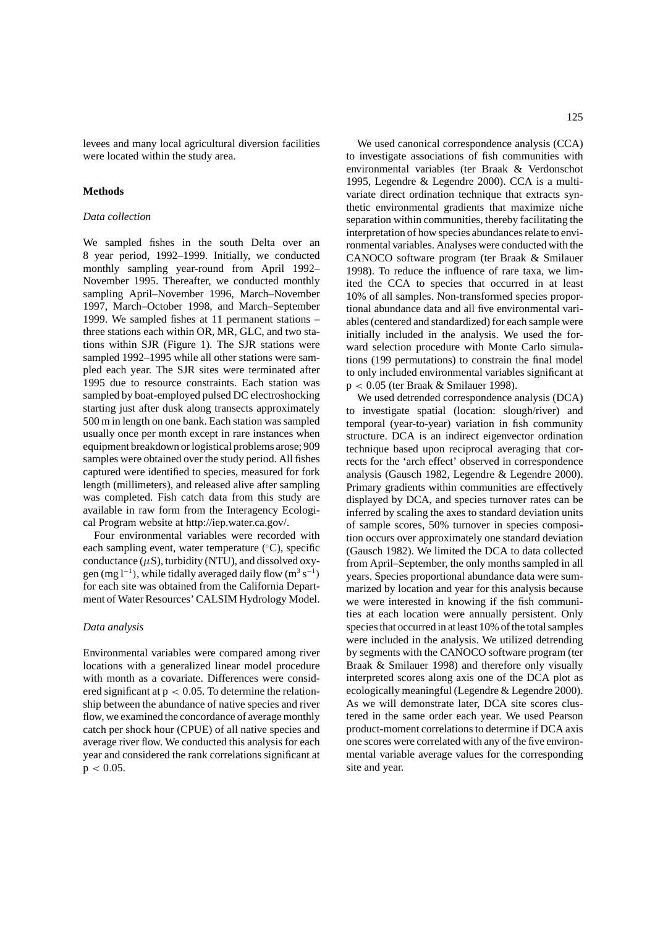levees and many local agricultural diversion facilities were located within the study area.

#### **Methods**

# *Data collection*

We sampled fishes in the south Delta over an 8 year period, 1992–1999. Initially, we conducted monthly sampling year-round from April 1992– November 1995. Thereafter, we conducted monthly sampling April–November 1996, March–November 1997, March–October 1998, and March–September 1999. We sampled fishes at 11 permanent stations – three stations each within OR, MR, GLC, and two stations within SJR (Figure 1). The SJR stations were sampled 1992–1995 while all other stations were sampled each year. The SJR sites were terminated after 1995 due to resource constraints. Each station was sampled by boat-employed pulsed DC electroshocking starting just after dusk along transects approximately 500 m in length on one bank. Each station was sampled usually once per month except in rare instances when equipment breakdown or logistical problems arose; 909 samples were obtained over the study period. All fishes captured were identified to species, measured for fork length (millimeters), and released alive after sampling was completed. Fish catch data from this study are available in raw form from the Interagency Ecological Program website at http://iep.water.ca.gov/.

Four environmental variables were recorded with each sampling event, water temperature (°C), specific conductance  $(\mu S)$ , turbidity (NTU), and dissolved oxygen (mg l<sup>−1</sup>), while tidally averaged daily flow (m<sup>3</sup> s<sup>−1</sup>) for each site was obtained from the California Department of Water Resources' CALSIM Hydrology Model.

#### *Data analysis*

Environmental variables were compared among river locations with a generalized linear model procedure with month as a covariate. Differences were considered significant at  $p < 0.05$ . To determine the relationship between the abundance of native species and river flow, we examined the concordance of average monthly catch per shock hour (CPUE) of all native species and average river flow. We conducted this analysis for each year and considered the rank correlations significant at  $p < 0.05$ .

We used canonical correspondence analysis (CCA) to investigate associations of fish communities with environmental variables (ter Braak & Verdonschot 1995, Legendre & Legendre 2000). CCA is a multivariate direct ordination technique that extracts synthetic environmental gradients that maximize niche separation within communities, thereby facilitating the interpretation of how species abundances relate to environmental variables. Analyses were conducted with the CANOCO software program (ter Braak & Smilauer 1998). To reduce the influence of rare taxa, we limited the CCA to species that occurred in at least 10% of all samples. Non-transformed species proportional abundance data and all five environmental variables (centered and standardized) for each sample were initially included in the analysis. We used the forward selection procedure with Monte Carlo simulations (199 permutations) to constrain the final model to only included environmental variables significant at p < 0.05 (ter Braak & Smilauer 1998).

We used detrended correspondence analysis (DCA) to investigate spatial (location: slough/river) and temporal (year-to-year) variation in fish community structure. DCA is an indirect eigenvector ordination technique based upon reciprocal averaging that corrects for the 'arch effect' observed in correspondence analysis (Gausch 1982, Legendre & Legendre 2000). Primary gradients within communities are effectively displayed by DCA, and species turnover rates can be inferred by scaling the axes to standard deviation units of sample scores, 50% turnover in species composition occurs over approximately one standard deviation (Gausch 1982). We limited the DCA to data collected from April–September, the only months sampled in all years. Species proportional abundance data were summarized by location and year for this analysis because we were interested in knowing if the fish communities at each location were annually persistent. Only species that occurred in at least 10% of the total samples were included in the analysis. We utilized detrending by segments with the CANOCO software program (ter Braak & Smilauer 1998) and therefore only visually interpreted scores along axis one of the DCA plot as ecologically meaningful (Legendre & Legendre 2000). As we will demonstrate later, DCA site scores clustered in the same order each year. We used Pearson product-moment correlations to determine if DCA axis one scores were correlated with any of the five environmental variable average values for the corresponding site and year.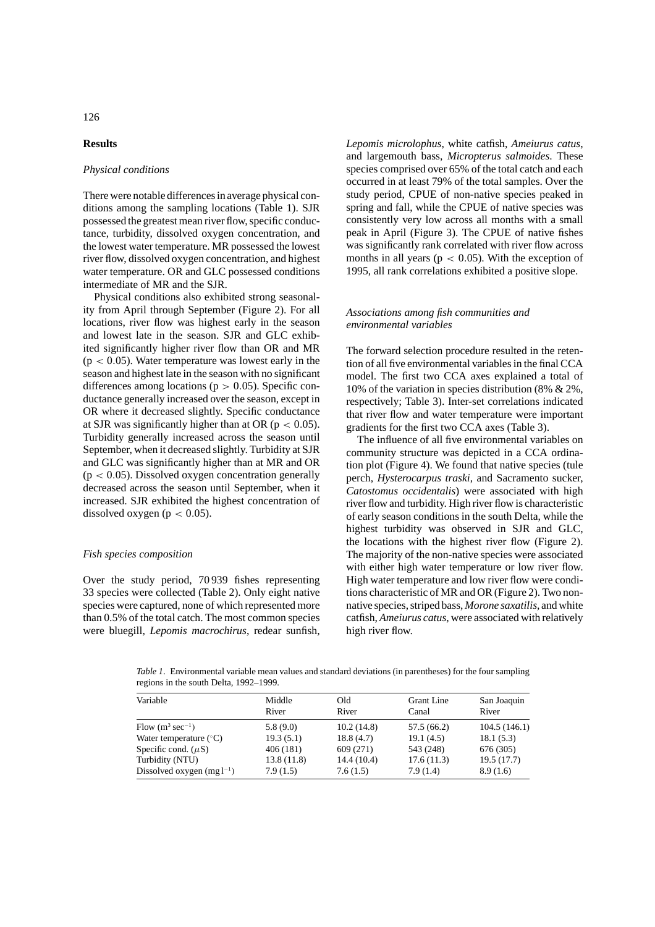# **Results**

## *Physical conditions*

There were notable differences in average physical conditions among the sampling locations (Table 1). SJR possessed the greatest mean river flow, specific conductance, turbidity, dissolved oxygen concentration, and the lowest water temperature. MR possessed the lowest river flow, dissolved oxygen concentration, and highest water temperature. OR and GLC possessed conditions intermediate of MR and the SJR.

Physical conditions also exhibited strong seasonality from April through September (Figure 2). For all locations, river flow was highest early in the season and lowest late in the season. SJR and GLC exhibited significantly higher river flow than OR and MR  $(p < 0.05)$ . Water temperature was lowest early in the season and highest late in the season with no significant differences among locations ( $p > 0.05$ ). Specific conductance generally increased over the season, except in OR where it decreased slightly. Specific conductance at SJR was significantly higher than at OR ( $p < 0.05$ ). Turbidity generally increased across the season until September, when it decreased slightly. Turbidity at SJR and GLC was significantly higher than at MR and OR  $(p < 0.05)$ . Dissolved oxygen concentration generally decreased across the season until September, when it increased. SJR exhibited the highest concentration of dissolved oxygen ( $p < 0.05$ ).

#### *Fish species composition*

Over the study period, 70 939 fishes representing 33 species were collected (Table 2). Only eight native species were captured, none of which represented more than 0.5% of the total catch. The most common species were bluegill, *Lepomis macrochirus*, redear sunfish, *Lepomis microlophus*, white catfish, *Ameiurus catus*, and largemouth bass, *Micropterus salmoides*. These species comprised over 65% of the total catch and each occurred in at least 79% of the total samples. Over the study period, CPUE of non-native species peaked in spring and fall, while the CPUE of native species was consistently very low across all months with a small peak in April (Figure 3). The CPUE of native fishes was significantly rank correlated with river flow across months in all years ( $p < 0.05$ ). With the exception of 1995, all rank correlations exhibited a positive slope.

## *Associations among fish communities and environmental variables*

The forward selection procedure resulted in the retention of all five environmental variables in the final CCA model. The first two CCA axes explained a total of 10% of the variation in species distribution (8% & 2%, respectively; Table 3). Inter-set correlations indicated that river flow and water temperature were important gradients for the first two CCA axes (Table 3).

The influence of all five environmental variables on community structure was depicted in a CCA ordination plot (Figure 4). We found that native species (tule perch, *Hysterocarpus traski*, and Sacramento sucker, *Catostomus occidentalis*) were associated with high river flow and turbidity. High river flow is characteristic of early season conditions in the south Delta, while the highest turbidity was observed in SJR and GLC, the locations with the highest river flow (Figure 2). The majority of the non-native species were associated with either high water temperature or low river flow. High water temperature and low river flow were conditions characteristic of MR and OR (Figure 2). Two nonnative species, striped bass, *Morone saxatilis,* and white catfish, *Ameiurus catus*, were associated with relatively high river flow.

*Table 1*. Environmental variable mean values and standard deviations (in parentheses) for the four sampling regions in the south Delta, 1992–1999.

| Variable                        | Middle<br>River | Old<br>River | <b>Grant</b> Line<br>Canal | San Joaquin<br>River |
|---------------------------------|-----------------|--------------|----------------------------|----------------------|
| Flow $(m^3 \text{ sec}^{-1})$   | 5.8(9.0)        | 10.2(14.8)   | 57.5 (66.2)                | 104.5(146.1)         |
| Water temperature $(^{\circ}C)$ | 19.3(5.1)       | 18.8(4.7)    | 19.1(4.5)                  | 18.1(5.3)            |
| Specific cond. $(\mu S)$        | 406 (181)       | 609 (271)    | 543 (248)                  | 676 (305)            |
| Turbidity (NTU)                 | 13.8(11.8)      | 14.4(10.4)   | 17.6(11.3)                 | 19.5(17.7)           |
| Dissolved oxygen $(mg l^{-1})$  | 7.9(1.5)        | 7.6(1.5)     | 7.9(1.4)                   | 8.9(1.6)             |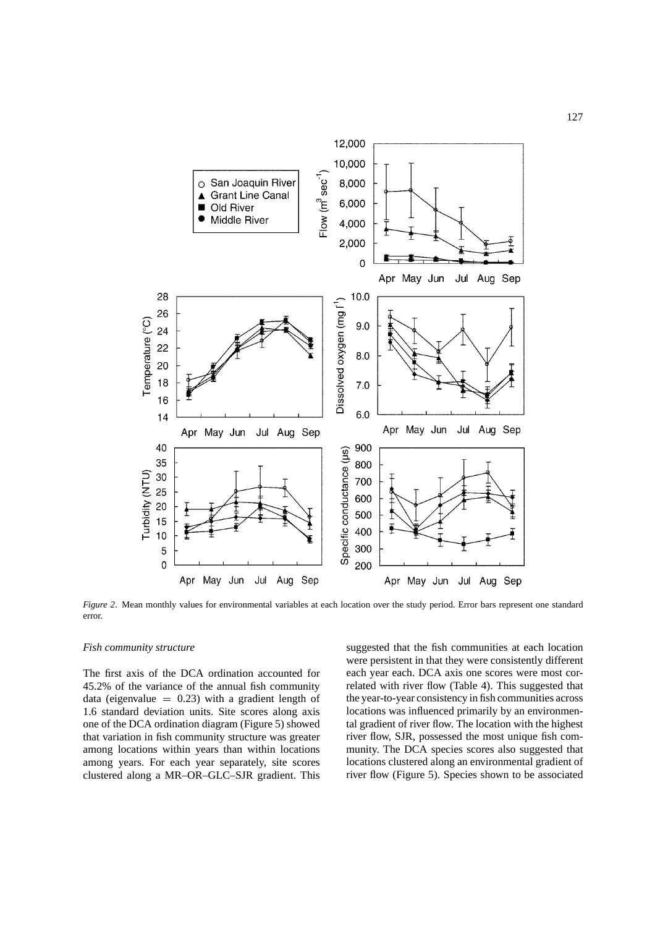

*Figure 2*. Mean monthly values for environmental variables at each location over the study period. Error bars represent one standard error.

#### *Fish community structure*

The first axis of the DCA ordination accounted for 45.2% of the variance of the annual fish community data (eigenvalue  $= 0.23$ ) with a gradient length of 1.6 standard deviation units. Site scores along axis one of the DCA ordination diagram (Figure 5) showed that variation in fish community structure was greater among locations within years than within locations among years. For each year separately, site scores clustered along a MR–OR–GLC–SJR gradient. This

suggested that the fish communities at each location were persistent in that they were consistently different each year each. DCA axis one scores were most correlated with river flow (Table 4). This suggested that the year-to-year consistency in fish communities across locations was influenced primarily by an environmental gradient of river flow. The location with the highest river flow, SJR, possessed the most unique fish community. The DCA species scores also suggested that locations clustered along an environmental gradient of river flow (Figure 5). Species shown to be associated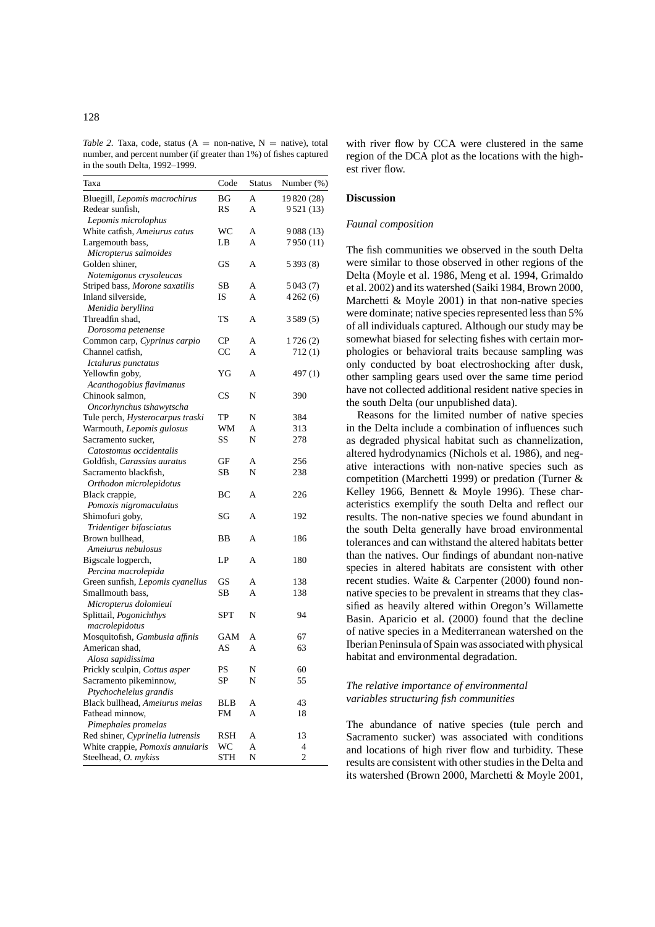*Table 2.* Taxa, code, status  $(A = non-native, N = native)$ , total number, and percent number (if greater than 1%) of fishes captured in the south Delta, 1992–1999.

| Taxa                             | Code       | <b>Status</b> | Number (%) |
|----------------------------------|------------|---------------|------------|
| Bluegill, Lepomis macrochirus    | ВG         | A             | 19820 (28) |
| Redear sunfish,                  | RS         | A             | 9521 (13)  |
| Lepomis microlophus              |            |               |            |
| White catfish, Ameiurus catus    | WC         | A             | 9088 (13)  |
| Largemouth bass,                 | LB         | A             | 7950 (11)  |
| Micropterus salmoides            |            |               |            |
| Golden shiner,                   | GS         | A             | 5393 (8)   |
| Notemigonus crysoleucas          |            |               |            |
| Striped bass, Morone saxatilis   | SВ         | A             | 5 0 43 (7) |
| Inland silverside,               | IS         | A             | 4262(6)    |
| Menidia beryllina                |            |               |            |
| Threadfin shad,                  | TS         | A             | 3589(5)    |
| Dorosoma petenense               |            |               |            |
| Common carp, Cyprinus carpio     | CP         | A             | 1726(2)    |
| Channel catfish,                 | CC         | A             | 712(1)     |
| Ictalurus punctatus              |            |               |            |
| Yellowfin goby,                  | YG         | A             | 497(1)     |
| Acanthogobius flavimanus         |            |               |            |
|                                  |            |               |            |
| Chinook salmon,                  | CS         | N             | 390        |
| Oncorhynchus tshawytscha         |            |               |            |
| Tule perch, Hysterocarpus traski | TP         | N             | 384        |
| Warmouth, Lepomis gulosus        | WM         | A             | 313        |
| Sacramento sucker,               | SS         | N             | 278        |
| Catostomus occidentalis          |            |               |            |
| Goldfish, Carassius auratus      | GF         | A             | 256        |
| Sacramento blackfish,            | SВ         | N             | 238        |
| Orthodon microlepidotus          |            |               |            |
| Black crappie,                   | ВC         | A             | 226        |
| Pomoxis nigromaculatus           |            |               |            |
| Shimofuri goby,                  | SG         | A             | 192        |
| Tridentiger bifasciatus          |            |               |            |
| Brown bullhead.                  | ВB         | А             | 186        |
| Ameiurus nebulosus               |            |               |            |
| Bigscale logperch,               | LP         | A             | 180        |
| Percina macrolepida              |            |               |            |
| Green sunfish, Lepomis cyanellus | GS         | A             | 138        |
| Smallmouth bass,                 | SВ         | A             | 138        |
| Micropterus dolomieui            |            |               |            |
| Splittail, Pogonichthys          | SPT        | N             | 94         |
| macrolepidotus                   |            |               |            |
| Mosquitofish, Gambusia affinis   | GAM        | A             | 67         |
| American shad,                   | AS         | A             | 63         |
| Alosa sapidissima                |            |               |            |
| Prickly sculpin, Cottus asper    | PS         | Ν             | 60         |
| Sacramento pikeminnow,           | SP         | N             | 55         |
| Ptychocheleius grandis           |            |               |            |
| Black bullhead, Ameiurus melas   | BLB        | А             | 43         |
| Fathead minnow,                  | FM         | A             | 18         |
| Pimephales promelas              |            |               |            |
| Red shiner, Cyprinella lutrensis | RSH        | А             | 13         |
| White crappie, Pomoxis annularis | WС         | А             | 4          |
| Steelhead, O. mykiss             | <b>STH</b> | N             | 2          |

with river flow by CCA were clustered in the same region of the DCA plot as the locations with the highest river flow.

#### **Discussion**

## *Faunal composition*

The fish communities we observed in the south Delta were similar to those observed in other regions of the Delta (Moyle et al. 1986, Meng et al. 1994, Grimaldo et al. 2002) and its watershed (Saiki 1984, Brown 2000, Marchetti & Moyle 2001) in that non-native species were dominate; native species represented less than 5% of all individuals captured. Although our study may be somewhat biased for selecting fishes with certain morphologies or behavioral traits because sampling was only conducted by boat electroshocking after dusk, other sampling gears used over the same time period have not collected additional resident native species in the south Delta (our unpublished data).

Reasons for the limited number of native species in the Delta include a combination of influences such as degraded physical habitat such as channelization, altered hydrodynamics (Nichols et al. 1986), and negative interactions with non-native species such as competition (Marchetti 1999) or predation (Turner & Kelley 1966, Bennett & Moyle 1996). These characteristics exemplify the south Delta and reflect our results. The non-native species we found abundant in the south Delta generally have broad environmental tolerances and can withstand the altered habitats better than the natives. Our findings of abundant non-native species in altered habitats are consistent with other recent studies. Waite & Carpenter (2000) found nonnative species to be prevalent in streams that they classified as heavily altered within Oregon's Willamette Basin. Aparicio et al. (2000) found that the decline of native species in a Mediterranean watershed on the Iberian Peninsula of Spain was associated with physical habitat and environmental degradation.

# *The relative importance of environmental variables structuring fish communities*

The abundance of native species (tule perch and Sacramento sucker) was associated with conditions and locations of high river flow and turbidity. These results are consistent with other studies in the Delta and its watershed (Brown 2000, Marchetti & Moyle 2001,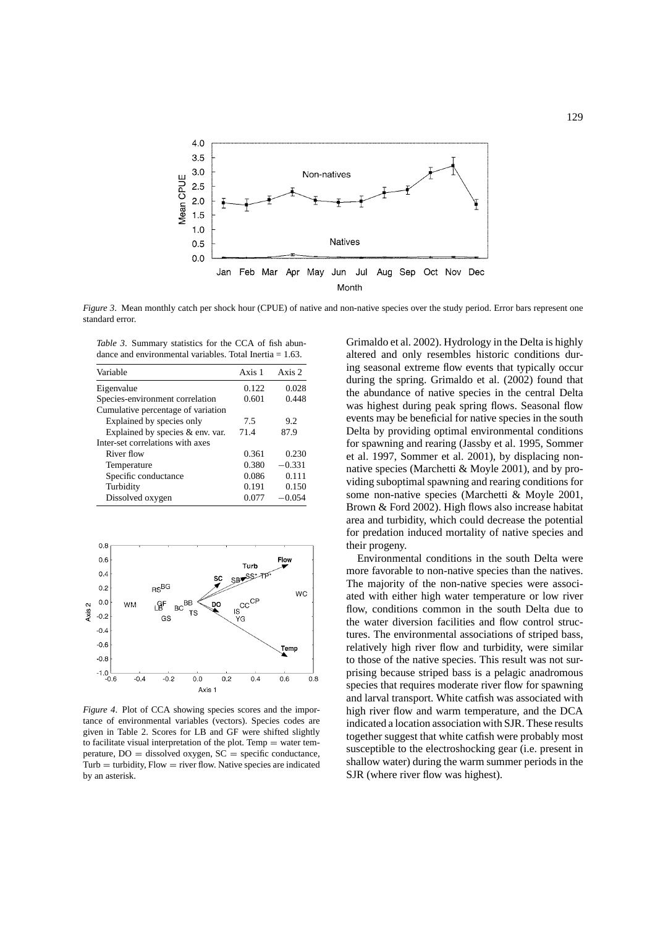

*Figure 3*. Mean monthly catch per shock hour (CPUE) of native and non-native species over the study period. Error bars represent one standard error.

*Table 3*. Summary statistics for the CCA of fish abundance and environmental variables. Total Inertia = 1.63.

| Variable                           | Axis 1 | Axis 2   |
|------------------------------------|--------|----------|
| Eigenvalue                         | 0.122  | 0.028    |
| Species-environment correlation    | 0.601  | 0.448    |
| Cumulative percentage of variation |        |          |
| Explained by species only          | 7.5    | 9.2      |
| Explained by species & env. var.   | 71.4   | 87.9     |
| Inter-set correlations with axes   |        |          |
| River flow                         | 0.361  | 0.230    |
| Temperature                        | 0.380  | $-0.331$ |
| Specific conductance               | 0.086  | 0.111    |
| Turbidity                          | 0.191  | 0.150    |
| Dissolved oxygen                   | 0.077  | $-0.054$ |



*Figure 4*. Plot of CCA showing species scores and the importance of environmental variables (vectors). Species codes are given in Table 2. Scores for LB and GF were shifted slightly to facilitate visual interpretation of the plot. Temp  $=$  water temperature,  $DO =$  dissolved oxygen,  $SC =$  specific conductance,  $Turb =$  turbidity,  $Flow = river flow$ . Native species are indicated by an asterisk.

Grimaldo et al. 2002). Hydrology in the Delta is highly altered and only resembles historic conditions during seasonal extreme flow events that typically occur during the spring. Grimaldo et al. (2002) found that the abundance of native species in the central Delta was highest during peak spring flows. Seasonal flow events may be beneficial for native species in the south Delta by providing optimal environmental conditions for spawning and rearing (Jassby et al. 1995, Sommer et al. 1997, Sommer et al. 2001), by displacing nonnative species (Marchetti & Moyle 2001), and by providing suboptimal spawning and rearing conditions for some non-native species (Marchetti & Moyle 2001, Brown & Ford 2002). High flows also increase habitat area and turbidity, which could decrease the potential for predation induced mortality of native species and their progeny.

Environmental conditions in the south Delta were more favorable to non-native species than the natives. The majority of the non-native species were associated with either high water temperature or low river flow, conditions common in the south Delta due to the water diversion facilities and flow control structures. The environmental associations of striped bass, relatively high river flow and turbidity, were similar to those of the native species. This result was not surprising because striped bass is a pelagic anadromous species that requires moderate river flow for spawning and larval transport. White catfish was associated with high river flow and warm temperature, and the DCA indicated a location association with SJR. These results together suggest that white catfish were probably most susceptible to the electroshocking gear (i.e. present in shallow water) during the warm summer periods in the SJR (where river flow was highest).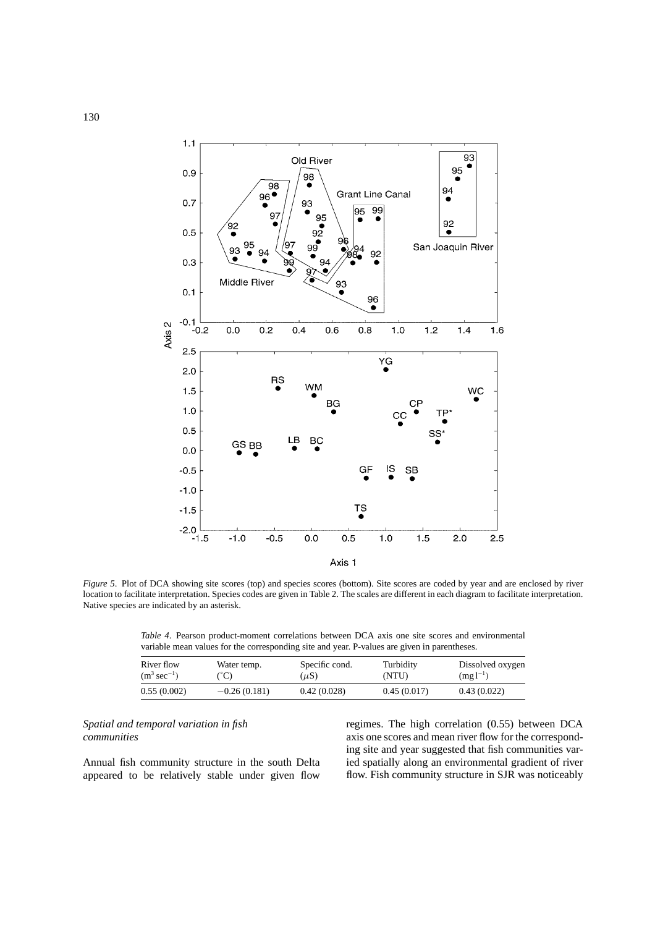

*Figure 5*. Plot of DCA showing site scores (top) and species scores (bottom). Site scores are coded by year and are enclosed by river location to facilitate interpretation. Species codes are given in Table 2. The scales are different in each diagram to facilitate interpretation. Native species are indicated by an asterisk.

*Table 4*. Pearson product-moment correlations between DCA axis one site scores and environmental variable mean values for the corresponding site and year. P-values are given in parentheses.

| River flow               | Water temp.    | Specific cond. | Turbidity   | Dissolved oxygen |
|--------------------------|----------------|----------------|-------------|------------------|
| $(m^3 \text{ sec}^{-1})$ | $C^{\circ}$ C) | $(\mu S)$      | (NTU)       | $(mg l^{-1})$    |
| 0.55(0.002)              | $-0.26(0.181)$ | 0.42(0.028)    | 0.45(0.017) | 0.43(0.022)      |

# *Spatial and temporal variation in fish communities*

Annual fish community structure in the south Delta appeared to be relatively stable under given flow

regimes. The high correlation (0.55) between DCA axis one scores and mean river flow for the corresponding site and year suggested that fish communities varied spatially along an environmental gradient of river flow. Fish community structure in SJR was noticeably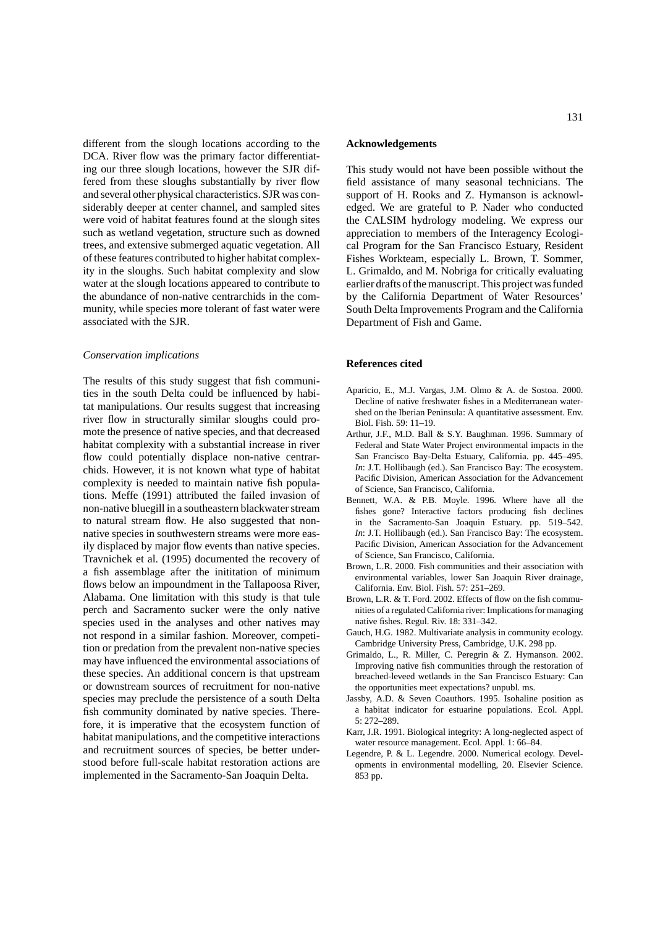different from the slough locations according to the DCA. River flow was the primary factor differentiating our three slough locations, however the SJR differed from these sloughs substantially by river flow and several other physical characteristics. SJR was considerably deeper at center channel, and sampled sites were void of habitat features found at the slough sites such as wetland vegetation, structure such as downed trees, and extensive submerged aquatic vegetation. All of these features contributed to higher habitat complexity in the sloughs. Such habitat complexity and slow water at the slough locations appeared to contribute to the abundance of non-native centrarchids in the community, while species more tolerant of fast water were associated with the SJR.

#### *Conservation implications*

The results of this study suggest that fish communities in the south Delta could be influenced by habitat manipulations. Our results suggest that increasing river flow in structurally similar sloughs could promote the presence of native species, and that decreased habitat complexity with a substantial increase in river flow could potentially displace non-native centrarchids. However, it is not known what type of habitat complexity is needed to maintain native fish populations. Meffe (1991) attributed the failed invasion of non-native bluegill in a southeastern blackwater stream to natural stream flow. He also suggested that nonnative species in southwestern streams were more easily displaced by major flow events than native species. Travnichek et al. (1995) documented the recovery of a fish assemblage after the inititation of minimum flows below an impoundment in the Tallapoosa River, Alabama. One limitation with this study is that tule perch and Sacramento sucker were the only native species used in the analyses and other natives may not respond in a similar fashion. Moreover, competition or predation from the prevalent non-native species may have influenced the environmental associations of these species. An additional concern is that upstream or downstream sources of recruitment for non-native species may preclude the persistence of a south Delta fish community dominated by native species. Therefore, it is imperative that the ecosystem function of habitat manipulations, and the competitive interactions and recruitment sources of species, be better understood before full-scale habitat restoration actions are implemented in the Sacramento-San Joaquin Delta.

## **Acknowledgements**

This study would not have been possible without the field assistance of many seasonal technicians. The support of H. Rooks and Z. Hymanson is acknowledged. We are grateful to P. Nader who conducted the CALSIM hydrology modeling. We express our appreciation to members of the Interagency Ecological Program for the San Francisco Estuary, Resident Fishes Workteam, especially L. Brown, T. Sommer, L. Grimaldo, and M. Nobriga for critically evaluating earlier drafts of the manuscript. This project was funded by the California Department of Water Resources' South Delta Improvements Program and the California Department of Fish and Game.

#### **References cited**

- Aparicio, E., M.J. Vargas, J.M. Olmo & A. de Sostoa. 2000. Decline of native freshwater fishes in a Mediterranean watershed on the Iberian Peninsula: A quantitative assessment. Env. Biol. Fish. 59: 11–19.
- Arthur, J.F., M.D. Ball & S.Y. Baughman. 1996. Summary of Federal and State Water Project environmental impacts in the San Francisco Bay-Delta Estuary, California. pp. 445–495. *In*: J.T. Hollibaugh (ed.). San Francisco Bay: The ecosystem. Pacific Division, American Association for the Advancement of Science, San Francisco, California.
- Bennett, W.A. & P.B. Moyle. 1996. Where have all the fishes gone? Interactive factors producing fish declines in the Sacramento-San Joaquin Estuary. pp. 519–542. *In*: J.T. Hollibaugh (ed.). San Francisco Bay: The ecosystem. Pacific Division, American Association for the Advancement of Science, San Francisco, California.
- Brown, L.R. 2000. Fish communities and their association with environmental variables, lower San Joaquin River drainage, California. Env. Biol. Fish. 57: 251–269.
- Brown, L.R. & T. Ford. 2002. Effects of flow on the fish communities of a regulated California river: Implications for managing native fishes. Regul. Riv. 18: 331–342.
- Gauch, H.G. 1982. Multivariate analysis in community ecology. Cambridge University Press, Cambridge, U.K. 298 pp.
- Grimaldo, L., R. Miller, C. Peregrin & Z. Hymanson. 2002. Improving native fish communities through the restoration of breached-leveed wetlands in the San Francisco Estuary: Can the opportunities meet expectations? unpubl. ms.
- Jassby, A.D. & Seven Coauthors. 1995. Isohaline position as a habitat indicator for estuarine populations. Ecol. Appl. 5: 272–289.
- Karr, J.R. 1991. Biological integrity: A long-neglected aspect of water resource management. Ecol. Appl. 1: 66–84.
- Legendre, P. & L. Legendre. 2000. Numerical ecology. Developments in environmental modelling, 20. Elsevier Science. 853 pp.